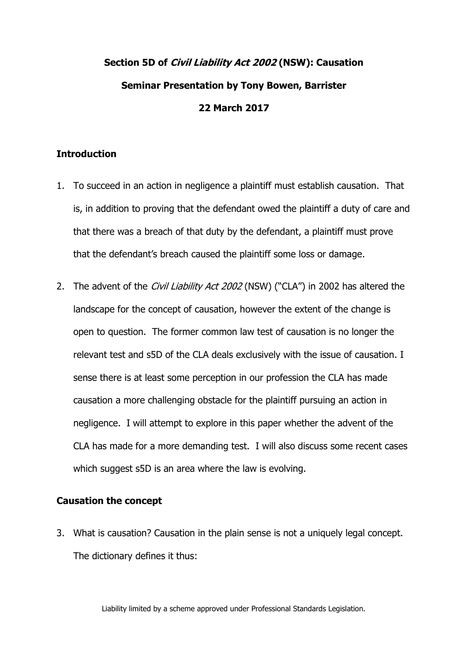# **Section 5D of Civil Liability Act 2002 (NSW): Causation Seminar Presentation by Tony Bowen, Barrister 22 March 2017**

# **Introduction**

- 1. To succeed in an action in negligence a plaintiff must establish causation. That is, in addition to proving that the defendant owed the plaintiff a duty of care and that there was a breach of that duty by the defendant, a plaintiff must prove that the defendant's breach caused the plaintiff some loss or damage.
- 2. The advent of the *Civil Liability Act 2002* (NSW) ("CLA") in 2002 has altered the landscape for the concept of causation, however the extent of the change is open to question. The former common law test of causation is no longer the relevant test and s5D of the CLA deals exclusively with the issue of causation. I sense there is at least some perception in our profession the CLA has made causation a more challenging obstacle for the plaintiff pursuing an action in negligence. I will attempt to explore in this paper whether the advent of the CLA has made for a more demanding test. I will also discuss some recent cases which suggest s5D is an area where the law is evolving.

## **Causation the concept**

3. What is causation? Causation in the plain sense is not a uniquely legal concept. The dictionary defines it thus:

Liability limited by a scheme approved under Professional Standards Legislation.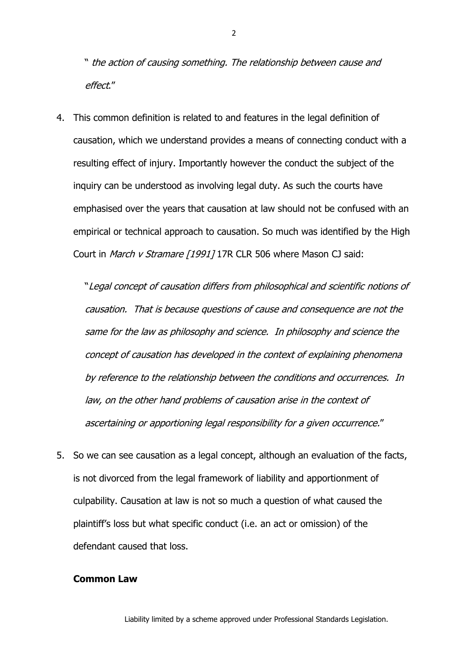" the action of causing something. The relationship between cause and effect."

4. This common definition is related to and features in the legal definition of causation, which we understand provides a means of connecting conduct with a resulting effect of injury. Importantly however the conduct the subject of the inquiry can be understood as involving legal duty. As such the courts have emphasised over the years that causation at law should not be confused with an empirical or technical approach to causation. So much was identified by the High Court in March v Stramare [1991] 17R CLR 506 where Mason CJ said:

"Legal concept of causation differs from philosophical and scientific notions of causation. That is because questions of cause and consequence are not the same for the law as philosophy and science. In philosophy and science the concept of causation has developed in the context of explaining phenomena by reference to the relationship between the conditions and occurrences. In law, on the other hand problems of causation arise in the context of ascertaining or apportioning legal responsibility for a given occurrence."

5. So we can see causation as a legal concept, although an evaluation of the facts, is not divorced from the legal framework of liability and apportionment of culpability. Causation at law is not so much a question of what caused the plaintiff's loss but what specific conduct (i.e. an act or omission) of the defendant caused that loss.

#### **Common Law**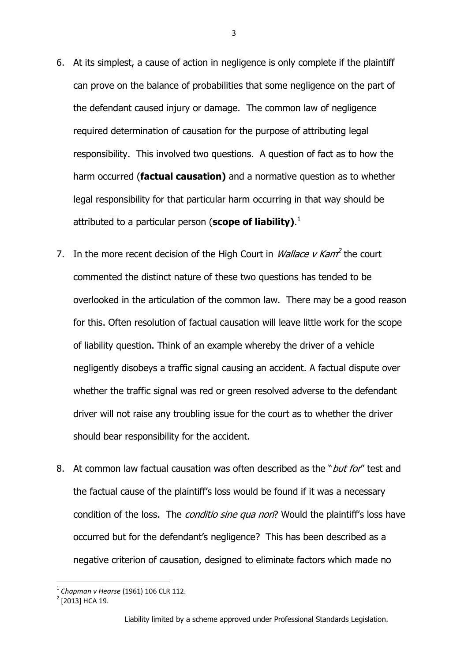- 6. At its simplest, a cause of action in negligence is only complete if the plaintiff can prove on the balance of probabilities that some negligence on the part of the defendant caused injury or damage. The common law of negligence required determination of causation for the purpose of attributing legal responsibility. This involved two questions. A question of fact as to how the harm occurred (**factual causation)** and a normative question as to whether legal responsibility for that particular harm occurring in that way should be attributed to a particular person (**scope of liability)**. 1
- 7. In the more recent decision of the High Court in *Wallace v Kam*<sup>2</sup> the court commented the distinct nature of these two questions has tended to be overlooked in the articulation of the common law. There may be a good reason for this. Often resolution of factual causation will leave little work for the scope of liability question. Think of an example whereby the driver of a vehicle negligently disobeys a traffic signal causing an accident. A factual dispute over whether the traffic signal was red or green resolved adverse to the defendant driver will not raise any troubling issue for the court as to whether the driver should bear responsibility for the accident.
- 8. At common law factual causation was often described as the "*but for*" test and the factual cause of the plaintiff's loss would be found if it was a necessary condition of the loss. The *conditio sine qua non*? Would the plaintiff's loss have occurred but for the defendant's negligence? This has been described as a negative criterion of causation, designed to eliminate factors which made no

<sup>1</sup> *Chapman v Hearse* (1961) 106 CLR 112.

 $2$  [2013] HCA 19.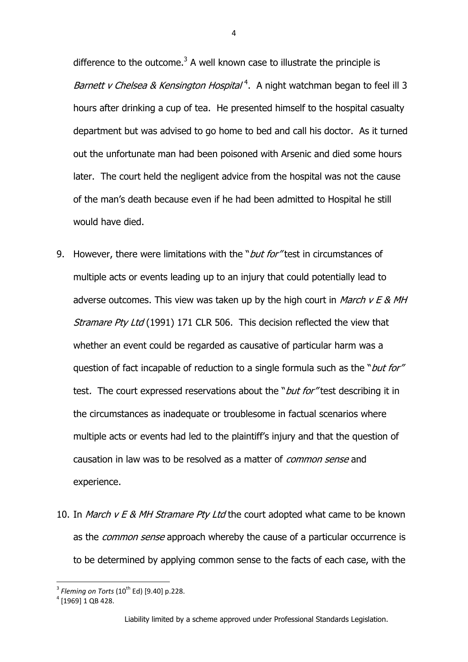difference to the outcome. $3$  A well known case to illustrate the principle is Barnett v Chelsea & Kensington Hospital<sup>4</sup>. A night watchman began to feel ill 3 hours after drinking a cup of tea. He presented himself to the hospital casualty department but was advised to go home to bed and call his doctor. As it turned out the unfortunate man had been poisoned with Arsenic and died some hours later. The court held the negligent advice from the hospital was not the cause of the man's death because even if he had been admitted to Hospital he still would have died.

- 9. However, there were limitations with the "*but for*" test in circumstances of multiple acts or events leading up to an injury that could potentially lead to adverse outcomes. This view was taken up by the high court in *March v E & MH* Stramare Pty Ltd (1991) 171 CLR 506. This decision reflected the view that whether an event could be regarded as causative of particular harm was a question of fact incapable of reduction to a single formula such as the "*but for"* test. The court expressed reservations about the "*but for*" test describing it in the circumstances as inadequate or troublesome in factual scenarios where multiple acts or events had led to the plaintiff's injury and that the question of causation in law was to be resolved as a matter of *common sense* and experience.
- 10. In March v E & MH Stramare Pty Ltd the court adopted what came to be known as the *common sense* approach whereby the cause of a particular occurrence is to be determined by applying common sense to the facts of each case, with the

 3 *Fleming on Torts* (10th Ed) [9.40] p.228.

 $4$  [1969] 1 QB 428.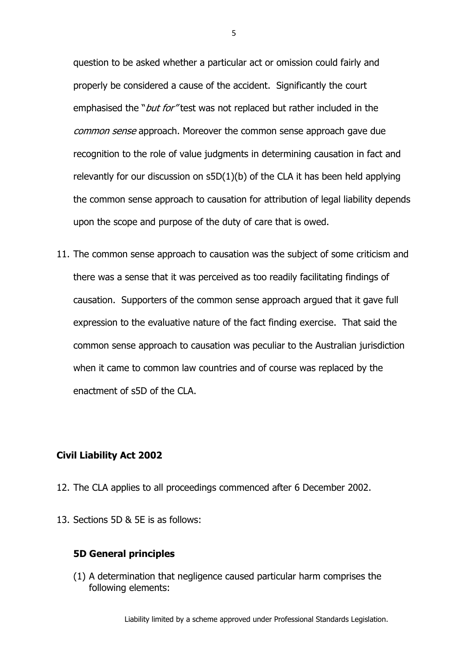question to be asked whether a particular act or omission could fairly and properly be considered a cause of the accident. Significantly the court emphasised the "*but for*" test was not replaced but rather included in the common sense approach. Moreover the common sense approach gave due recognition to the role of value judgments in determining causation in fact and relevantly for our discussion on  $s5D(1)(b)$  of the CLA it has been held applying the common sense approach to causation for attribution of legal liability depends upon the scope and purpose of the duty of care that is owed.

11. The common sense approach to causation was the subject of some criticism and there was a sense that it was perceived as too readily facilitating findings of causation. Supporters of the common sense approach argued that it gave full expression to the evaluative nature of the fact finding exercise. That said the common sense approach to causation was peculiar to the Australian jurisdiction when it came to common law countries and of course was replaced by the enactment of s5D of the CLA.

## **Civil Liability Act 2002**

- 12. The CLA applies to all proceedings commenced after 6 December 2002.
- 13. Sections 5D & 5E is as follows:

# **5D General principles**

(1) A determination that [negligence](http://www.austlii.edu.au/au/legis/nsw/consol_act/cla2002161/s5.html#negligence) caused particular [harm](http://www.austlii.edu.au/au/legis/nsw/consol_act/cla2002161/s5.html#harm) comprises the following elements:

Liability limited by a scheme approved under Professional Standards Legislation.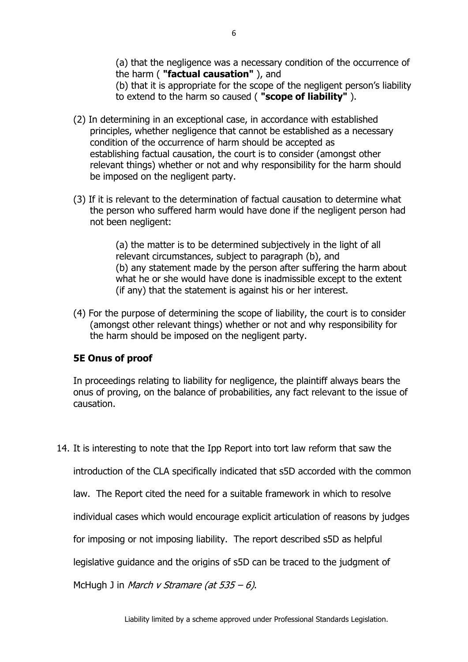(a) that the [negligence](http://www.austlii.edu.au/au/legis/nsw/consol_act/cla2002161/s5.html#negligence) was a necessary condition of the occurrence of the [harm](http://www.austlii.edu.au/au/legis/nsw/consol_act/cla2002161/s5.html#harm) ( **"factual causation"** ), and

(b) that it is appropriate for the scope of the negligent person's liability to extend to the [harm](http://www.austlii.edu.au/au/legis/nsw/consol_act/cla2002161/s5.html#harm) so caused ( **"scope of liability"** ).

- (2) In determining in an exceptional case, in accordance with established principles, whether [negligence](http://www.austlii.edu.au/au/legis/nsw/consol_act/cla2002161/s5.html#negligence) that cannot be established as a necessary condition of the occurrence of [harm](http://www.austlii.edu.au/au/legis/nsw/consol_act/cla2002161/s5.html#harm) should be accepted as establishing [factual causation,](http://www.austlii.edu.au/au/legis/nsw/consol_act/cla2002161/s5d.html#factual_causation) the court is to consider (amongst other relevant things) whether or not and why responsibility for the [harm](http://www.austlii.edu.au/au/legis/nsw/consol_act/cla2002161/s5.html#harm) should be imposed on the negligent party.
- (3) If it is relevant to the determination of [factual causation](http://www.austlii.edu.au/au/legis/nsw/consol_act/cla2002161/s5d.html#factual_causation) to determine what the person who suffered [harm](http://www.austlii.edu.au/au/legis/nsw/consol_act/cla2002161/s5.html#harm) would have done if the negligent person had not been negligent:

(a) the matter is to be determined subjectively in the light of all relevant circumstances, subject to paragraph (b), and (b) any statement made by the person after suffering the [harm](http://www.austlii.edu.au/au/legis/nsw/consol_act/cla2002161/s5.html#harm) about what he or she would have done is inadmissible except to the extent (if any) that the statement is against his or her interest.

(4) For the purpose of determining the [scope of liability,](http://www.austlii.edu.au/au/legis/nsw/consol_act/cla2002161/s5d.html#scope_of_liability) the court is to consider (amongst other relevant things) whether or not and why responsibility for the [harm](http://www.austlii.edu.au/au/legis/nsw/consol_act/cla2002161/s5.html#harm) should be imposed on the negligent party.

# **5E Onus of proof**

In proceedings relating to liability for [negligence,](http://www.austlii.edu.au/au/legis/nsw/consol_act/cla2002161/s5.html#negligence) [the plaintiff](http://www.austlii.edu.au/au/legis/nsw/consol_act/cla2002161/s5m.html#the_plaintiff) always bears the onus of proving, on the balance of probabilities, any fact relevant to the issue of causation.

14. It is interesting to note that the Ipp Report into tort law reform that saw the

introduction of the CLA specifically indicated that s5D accorded with the common

law. The Report cited the need for a suitable framework in which to resolve

individual cases which would encourage explicit articulation of reasons by judges

for imposing or not imposing liability. The report described s5D as helpful

legislative guidance and the origins of s5D can be traced to the judgment of

McHugh J in *March v Stramare (at 535 – 6)*.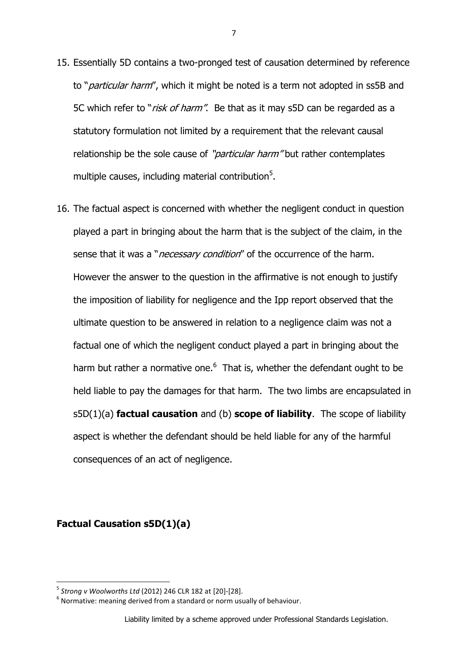- 15. Essentially 5D contains a two-pronged test of causation determined by reference to "*particular harm"*, which it might be noted is a term not adopted in ss5B and 5C which refer to "risk of harm". Be that as it may s5D can be regarded as a statutory formulation not limited by a requirement that the relevant causal relationship be the sole cause of "*particular harm*" but rather contemplates multiple causes, including material contribution<sup>5</sup>.
- 16. The factual aspect is concerned with whether the negligent conduct in question played a part in bringing about the harm that is the subject of the claim, in the sense that it was a "*necessary condition*" of the occurrence of the harm. However the answer to the question in the affirmative is not enough to justify the imposition of liability for negligence and the Ipp report observed that the ultimate question to be answered in relation to a negligence claim was not a factual one of which the negligent conduct played a part in bringing about the harm but rather a normative one. $<sup>6</sup>$  That is, whether the defendant ought to be</sup> held liable to pay the damages for that harm. The two limbs are encapsulated in s5D(1)(a) **factual causation** and (b) **scope of liability**. The scope of liability aspect is whether the defendant should be held liable for any of the harmful consequences of an act of negligence.

**Factual Causation s5D(1)(a)**

<sup>5</sup> *Strong v Woolworths Ltd* (2012) 246 CLR 182 at [20]-[28].

 $<sup>6</sup>$  Normative: meaning derived from a standard or norm usually of behaviour.</sup>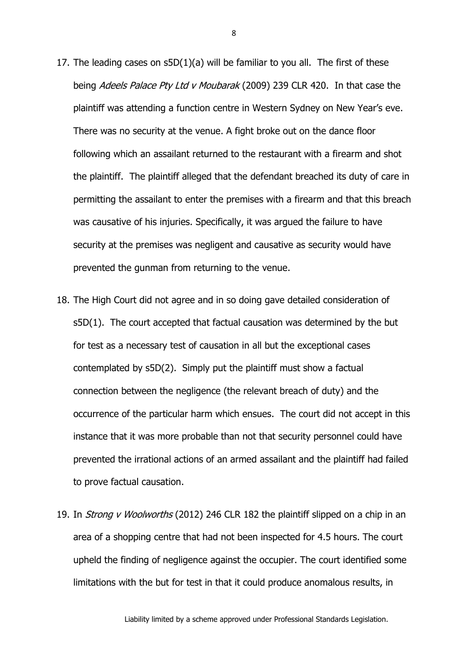- 17. The leading cases on s5D(1)(a) will be familiar to you all. The first of these being Adeels Palace Pty Ltd v Moubarak (2009) 239 CLR 420. In that case the plaintiff was attending a function centre in Western Sydney on New Year's eve. There was no security at the venue. A fight broke out on the dance floor following which an assailant returned to the restaurant with a firearm and shot the plaintiff. The plaintiff alleged that the defendant breached its duty of care in permitting the assailant to enter the premises with a firearm and that this breach was causative of his injuries. Specifically, it was argued the failure to have security at the premises was negligent and causative as security would have prevented the gunman from returning to the venue.
- 18. The High Court did not agree and in so doing gave detailed consideration of s5D(1). The court accepted that factual causation was determined by the but for test as a necessary test of causation in all but the exceptional cases contemplated by s5D(2). Simply put the plaintiff must show a factual connection between the negligence (the relevant breach of duty) and the occurrence of the particular harm which ensues. The court did not accept in this instance that it was more probable than not that security personnel could have prevented the irrational actions of an armed assailant and the plaintiff had failed to prove factual causation.
- 19. In Strong v Woolworths (2012) 246 CLR 182 the plaintiff slipped on a chip in an area of a shopping centre that had not been inspected for 4.5 hours. The court upheld the finding of negligence against the occupier. The court identified some limitations with the but for test in that it could produce anomalous results, in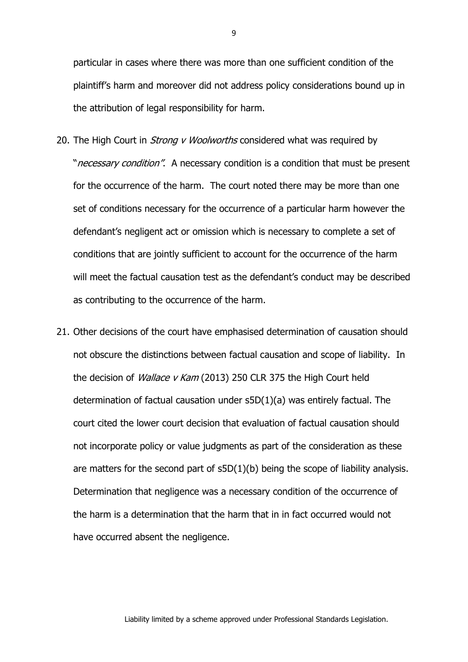particular in cases where there was more than one sufficient condition of the plaintiff's harm and moreover did not address policy considerations bound up in the attribution of legal responsibility for harm.

- 20. The High Court in *Strong v Woolworths* considered what was required by "*necessary condition"*. A necessary condition is a condition that must be present for the occurrence of the harm. The court noted there may be more than one set of conditions necessary for the occurrence of a particular harm however the defendant's negligent act or omission which is necessary to complete a set of conditions that are jointly sufficient to account for the occurrence of the harm will meet the factual causation test as the defendant's conduct may be described as contributing to the occurrence of the harm.
- 21. Other decisions of the court have emphasised determination of causation should not obscure the distinctions between factual causation and scope of liability. In the decision of *Wallace v Kam* (2013) 250 CLR 375 the High Court held determination of factual causation under s5D(1)(a) was entirely factual. The court cited the lower court decision that evaluation of factual causation should not incorporate policy or value judgments as part of the consideration as these are matters for the second part of s5D(1)(b) being the scope of liability analysis. Determination that negligence was a necessary condition of the occurrence of the harm is a determination that the harm that in in fact occurred would not have occurred absent the negligence.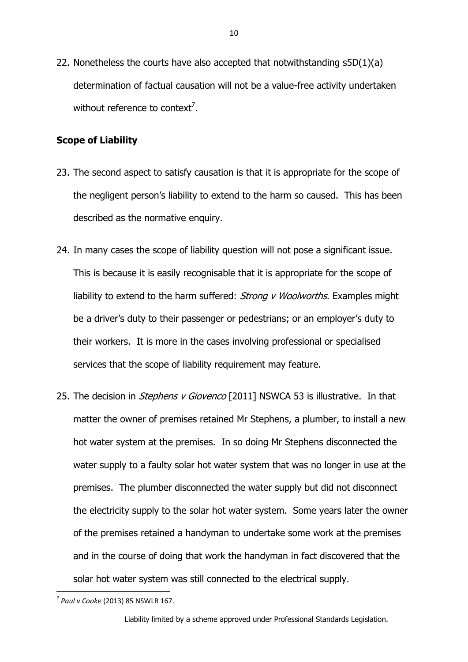22. Nonetheless the courts have also accepted that notwithstanding s5D(1)(a) determination of factual causation will not be a value-free activity undertaken without reference to context<sup>7</sup>.

#### **Scope of Liability**

- 23. The second aspect to satisfy causation is that it is appropriate for the scope of the negligent person's liability to extend to the harm so caused. This has been described as the normative enquiry.
- 24. In many cases the scope of liability question will not pose a significant issue. This is because it is easily recognisable that it is appropriate for the scope of liability to extend to the harm suffered: *Strong v Woolworths*. Examples might be a driver's duty to their passenger or pedestrians; or an employer's duty to their workers. It is more in the cases involving professional or specialised services that the scope of liability requirement may feature.
- 25. The decision in *Stephens v Giovenco* [2011] NSWCA 53 is illustrative. In that matter the owner of premises retained Mr Stephens, a plumber, to install a new hot water system at the premises. In so doing Mr Stephens disconnected the water supply to a faulty solar hot water system that was no longer in use at the premises. The plumber disconnected the water supply but did not disconnect the electricity supply to the solar hot water system. Some years later the owner of the premises retained a handyman to undertake some work at the premises and in the course of doing that work the handyman in fact discovered that the solar hot water system was still connected to the electrical supply.

**<sup>.</sup>** 7 *Paul v Cooke* (2013) 85 NSWLR 167.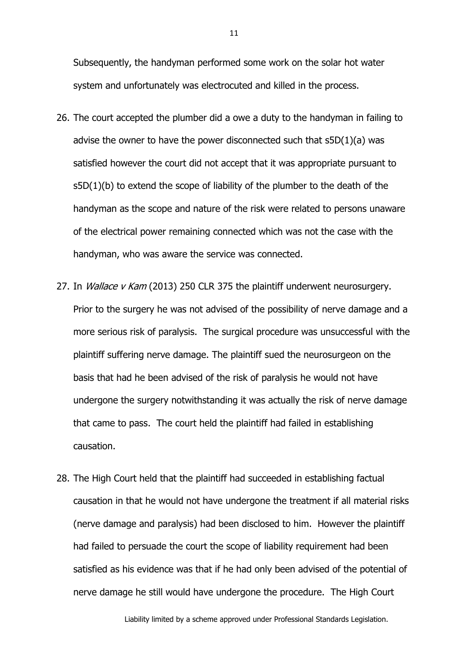Subsequently, the handyman performed some work on the solar hot water system and unfortunately was electrocuted and killed in the process.

- 26. The court accepted the plumber did a owe a duty to the handyman in failing to advise the owner to have the power disconnected such that  $s5D(1)(a)$  was satisfied however the court did not accept that it was appropriate pursuant to  $s5D(1)(b)$  to extend the scope of liability of the plumber to the death of the handyman as the scope and nature of the risk were related to persons unaware of the electrical power remaining connected which was not the case with the handyman, who was aware the service was connected.
- 27. In *Wallace v Kam* (2013) 250 CLR 375 the plaintiff underwent neurosurgery. Prior to the surgery he was not advised of the possibility of nerve damage and a more serious risk of paralysis. The surgical procedure was unsuccessful with the plaintiff suffering nerve damage. The plaintiff sued the neurosurgeon on the basis that had he been advised of the risk of paralysis he would not have undergone the surgery notwithstanding it was actually the risk of nerve damage that came to pass. The court held the plaintiff had failed in establishing causation.
- 28. The High Court held that the plaintiff had succeeded in establishing factual causation in that he would not have undergone the treatment if all material risks (nerve damage and paralysis) had been disclosed to him. However the plaintiff had failed to persuade the court the scope of liability requirement had been satisfied as his evidence was that if he had only been advised of the potential of nerve damage he still would have undergone the procedure. The High Court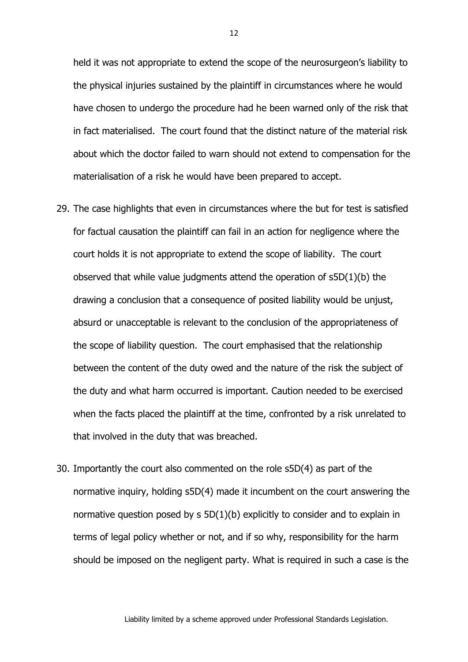held it was not appropriate to extend the scope of the neurosurgeon's liability to the physical injuries sustained by the plaintiff in circumstances where he would have chosen to undergo the procedure had he been warned only of the risk that in fact materialised. The court found that the distinct nature of the material risk about which the doctor failed to warn should not extend to compensation for the materialisation of a risk he would have been prepared to accept.

- 29. The case highlights that even in circumstances where the but for test is satisfied for factual causation the plaintiff can fail in an action for negligence where the court holds it is not appropriate to extend the scope of liability. The court observed that while value judgments attend the operation of s5D(1)(b) the drawing a conclusion that a consequence of posited liability would be unjust, absurd or unacceptable is relevant to the conclusion of the appropriateness of the scope of liability question. The court emphasised that the relationship between the content of the duty owed and the nature of the risk the subject of the duty and what harm occurred is important. Caution needed to be exercised when the facts placed the plaintiff at the time, confronted by a risk unrelated to that involved in the duty that was breached.
- 30. Importantly the court also commented on the role s5D(4) as part of the normative inquiry, holding s5D(4) made it incumbent on the court answering the normative question posed by [s 5D\(1\)\(b\)](http://www.austlii.edu.au/au/legis/nsw/consol_act/cla2002161/s5d.html) explicitly to consider and to explain in terms of legal policy whether or not, and if so why, responsibility for the harm should be imposed on the negligent party. What is required in such a case is the

Liability limited by a scheme approved under Professional Standards Legislation.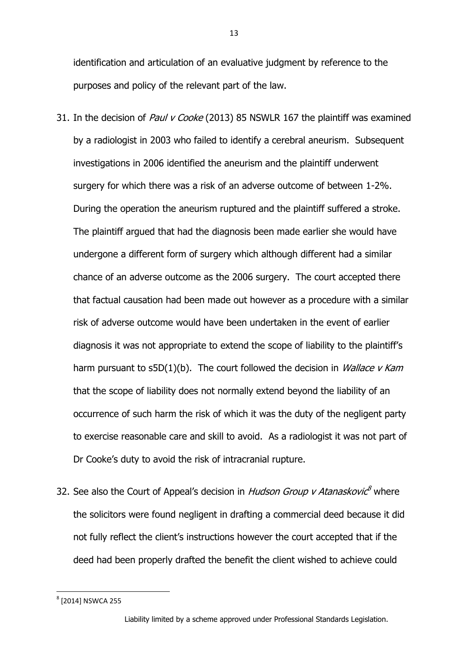identification and articulation of an evaluative judgment by reference to the purposes and policy of the relevant part of the law.

- 31. In the decision of *Paul v Cooke* (2013) 85 NSWLR 167 the plaintiff was examined by a radiologist in 2003 who failed to identify a cerebral aneurism. Subsequent investigations in 2006 identified the aneurism and the plaintiff underwent surgery for which there was a risk of an adverse outcome of between 1-2%. During the operation the aneurism ruptured and the plaintiff suffered a stroke. The plaintiff argued that had the diagnosis been made earlier she would have undergone a different form of surgery which although different had a similar chance of an adverse outcome as the 2006 surgery. The court accepted there that factual causation had been made out however as a procedure with a similar risk of adverse outcome would have been undertaken in the event of earlier diagnosis it was not appropriate to extend the scope of liability to the plaintiff's harm pursuant to s5D(1)(b). The court followed the decision in *Wallace v Kam* that the scope of liability does not normally extend beyond the liability of an occurrence of such harm the risk of which it was the duty of the negligent party to exercise reasonable care and skill to avoid. As a radiologist it was not part of Dr Cooke's duty to avoid the risk of intracranial rupture.
- 32. See also the Court of Appeal's decision in *Hudson Group v Atanaskovic<sup>8</sup>* where the solicitors were found negligent in drafting a commercial deed because it did not fully reflect the client's instructions however the court accepted that if the deed had been properly drafted the benefit the client wished to achieve could

**.** 

 $^8$  [2014] NSWCA 255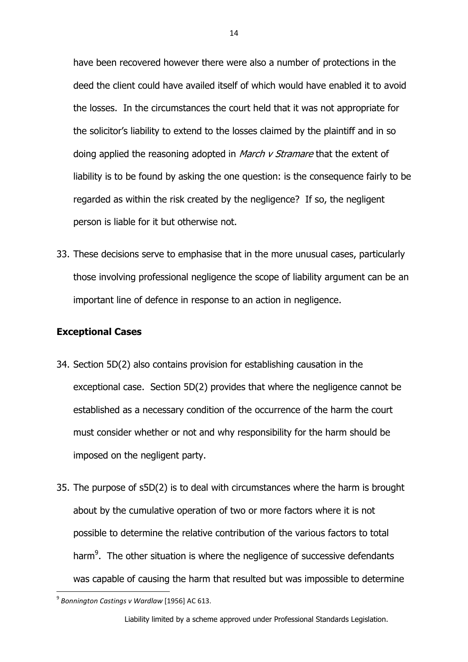have been recovered however there were also a number of protections in the deed the client could have availed itself of which would have enabled it to avoid the losses. In the circumstances the court held that it was not appropriate for the solicitor's liability to extend to the losses claimed by the plaintiff and in so doing applied the reasoning adopted in *March v Stramare* that the extent of liability is to be found by asking the one question: is the consequence fairly to be regarded as within the risk created by the negligence? If so, the negligent person is liable for it but otherwise not.

33. These decisions serve to emphasise that in the more unusual cases, particularly those involving professional negligence the scope of liability argument can be an important line of defence in response to an action in negligence.

## **Exceptional Cases**

- 34. Section 5D(2) also contains provision for establishing causation in the exceptional case. Section 5D(2) provides that where the negligence cannot be established as a necessary condition of the occurrence of the harm the court must consider whether or not and why responsibility for the harm should be imposed on the negligent party.
- 35. The purpose of s5D(2) is to deal with circumstances where the harm is brought about by the cumulative operation of two or more factors where it is not possible to determine the relative contribution of the various factors to total harm $9$ . The other situation is where the negligence of successive defendants was capable of causing the harm that resulted but was impossible to determine

**<sup>.</sup>** 9 *Bonnington Castings v Wardlaw* [1956] AC 613.

Liability limited by a scheme approved under Professional Standards Legislation.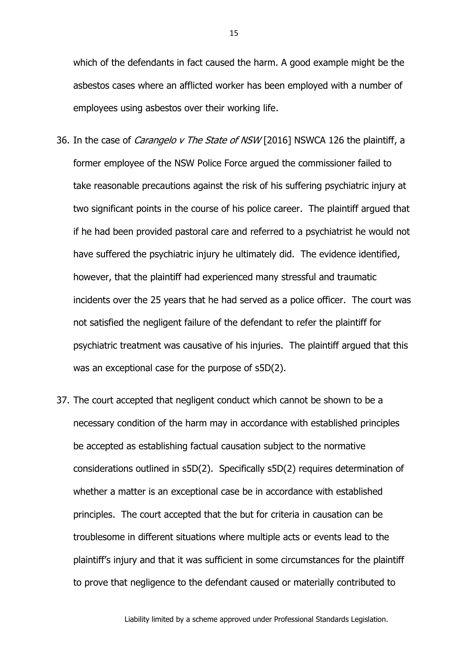which of the defendants in fact caused the harm. A good example might be the asbestos cases where an afflicted worker has been employed with a number of employees using asbestos over their working life.

- 36. In the case of *Carangelo v The State of NSW* [2016] NSWCA 126 the plaintiff, a former employee of the NSW Police Force argued the commissioner failed to take reasonable precautions against the risk of his suffering psychiatric injury at two significant points in the course of his police career. The plaintiff argued that if he had been provided pastoral care and referred to a psychiatrist he would not have suffered the psychiatric injury he ultimately did. The evidence identified, however, that the plaintiff had experienced many stressful and traumatic incidents over the 25 years that he had served as a police officer. The court was not satisfied the negligent failure of the defendant to refer the plaintiff for psychiatric treatment was causative of his injuries. The plaintiff argued that this was an exceptional case for the purpose of s5D(2).
- 37. The court accepted that negligent conduct which cannot be shown to be a necessary condition of the harm may in accordance with established principles be accepted as establishing factual causation subject to the normative considerations outlined in s5D(2). Specifically s5D(2) requires determination of whether a matter is an exceptional case be in accordance with established principles. The court accepted that the but for criteria in causation can be troublesome in different situations where multiple acts or events lead to the plaintiff's injury and that it was sufficient in some circumstances for the plaintiff to prove that negligence to the defendant caused or materially contributed to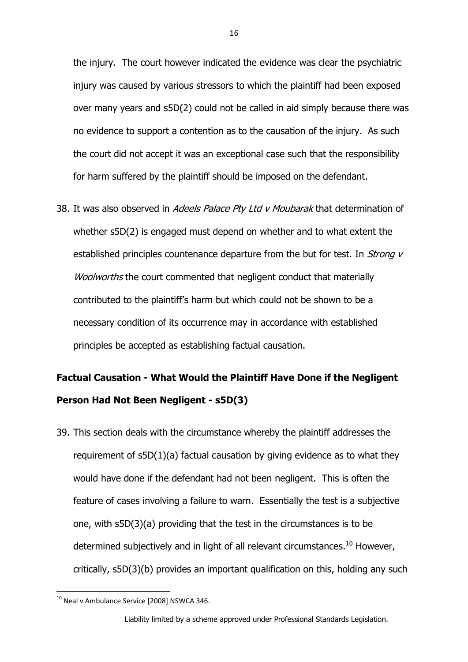the injury. The court however indicated the evidence was clear the psychiatric injury was caused by various stressors to which the plaintiff had been exposed over many years and s5D(2) could not be called in aid simply because there was no evidence to support a contention as to the causation of the injury. As such the court did not accept it was an exceptional case such that the responsibility for harm suffered by the plaintiff should be imposed on the defendant.

38. It was also observed in Adeels Palace Pty Ltd v Moubarak that determination of whether s5D(2) is engaged must depend on whether and to what extent the established principles countenance departure from the but for test. In Strong v Woolworths the court commented that negligent conduct that materially contributed to the plaintiff's harm but which could not be shown to be a necessary condition of its occurrence may in accordance with established principles be accepted as establishing factual causation.

# **Factual Causation - What Would the Plaintiff Have Done if the Negligent Person Had Not Been Negligent - s5D(3)**

39. This section deals with the circumstance whereby the plaintiff addresses the requirement of s5D(1)(a) factual causation by giving evidence as to what they would have done if the defendant had not been negligent. This is often the feature of cases involving a failure to warn. Essentially the test is a subjective one, with s5D(3)(a) providing that the test in the circumstances is to be determined subjectively and in light of all relevant circumstances.<sup>10</sup> However, critically, s5D(3)(b) provides an important qualification on this, holding any such

**<sup>.</sup>**  $^{10}$  Neal v Ambulance Service [2008] NSWCA 346.

Liability limited by a scheme approved under Professional Standards Legislation.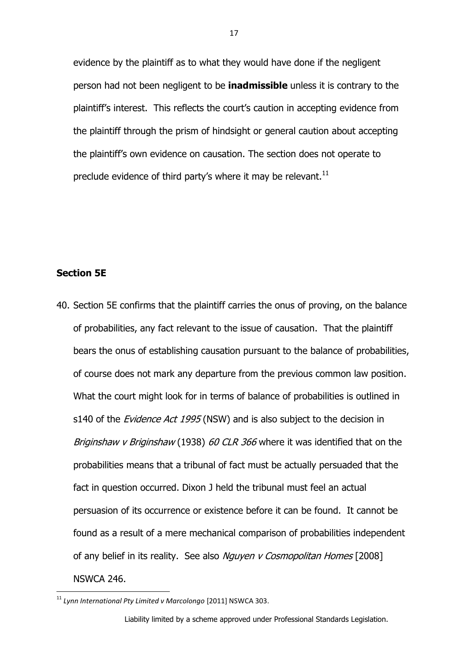evidence by the plaintiff as to what they would have done if the negligent person had not been negligent to be **inadmissible** unless it is contrary to the plaintiff's interest. This reflects the court's caution in accepting evidence from the plaintiff through the prism of hindsight or general caution about accepting the plaintiff's own evidence on causation. The section does not operate to preclude evidence of third party's where it may be relevant. $^{11}$ 

# **Section 5E**

**.** 

40. Section 5E confirms that the plaintiff carries the onus of proving, on the balance of probabilities, any fact relevant to the issue of causation. That the plaintiff bears the onus of establishing causation pursuant to the balance of probabilities, of course does not mark any departure from the previous common law position. What the court might look for in terms of balance of probabilities is outlined in s140 of the *Evidence Act 1995* (NSW) and is also subject to the decision in Briginshaw v Briginshaw (1938) 60 CLR 366 where it was identified that on the probabilities means that a tribunal of fact must be actually persuaded that the fact in question occurred. Dixon J held the tribunal must feel an actual persuasion of its occurrence or existence before it can be found. It cannot be found as a result of a mere mechanical comparison of probabilities independent of any belief in its reality. See also Nguyen v Cosmopolitan Homes [2008] NSWCA 246.

<sup>11</sup> *Lynn International Pty Limited v Marcolongo* [2011] NSWCA 303.

Liability limited by a scheme approved under Professional Standards Legislation.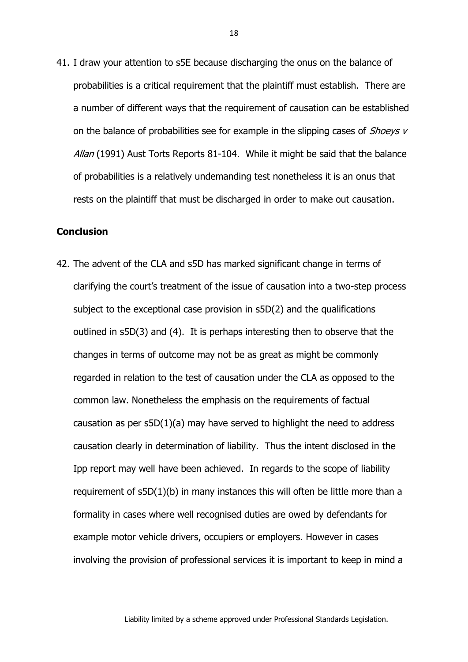41. I draw your attention to s5E because discharging the onus on the balance of probabilities is a critical requirement that the plaintiff must establish. There are a number of different ways that the requirement of causation can be established on the balance of probabilities see for example in the slipping cases of *Shoeys v* Allan (1991) Aust Torts Reports 81-104. While it might be said that the balance of probabilities is a relatively undemanding test nonetheless it is an onus that rests on the plaintiff that must be discharged in order to make out causation.

#### **Conclusion**

42. The advent of the CLA and s5D has marked significant change in terms of clarifying the court's treatment of the issue of causation into a two-step process subject to the exceptional case provision in s5D(2) and the qualifications outlined in s5D(3) and (4). It is perhaps interesting then to observe that the changes in terms of outcome may not be as great as might be commonly regarded in relation to the test of causation under the CLA as opposed to the common law. Nonetheless the emphasis on the requirements of factual causation as per  $s5D(1)(a)$  may have served to highlight the need to address causation clearly in determination of liability. Thus the intent disclosed in the Ipp report may well have been achieved. In regards to the scope of liability requirement of s5D(1)(b) in many instances this will often be little more than a formality in cases where well recognised duties are owed by defendants for example motor vehicle drivers, occupiers or employers. However in cases involving the provision of professional services it is important to keep in mind a